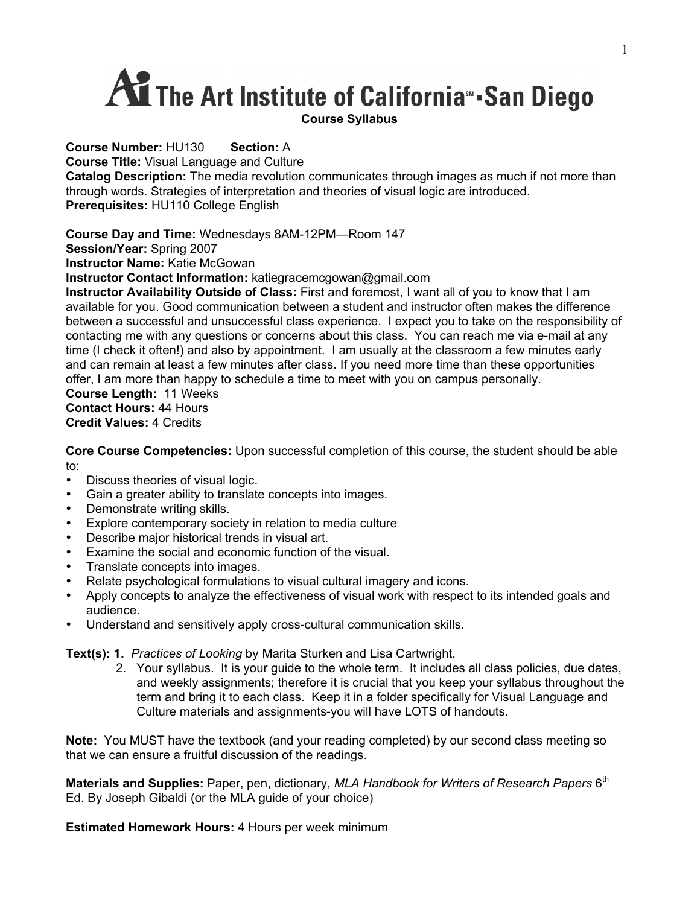# **AT The Art Institute of California** San Diego

**Course Number:** HU130 **Section:** A **Course Title:** Visual Language and Culture **Catalog Description:** The media revolution communicates through images as much if not more than through words. Strategies of interpretation and theories of visual logic are introduced. **Prerequisites:** HU110 College English

**Course Day and Time:** Wednesdays 8AM-12PM—Room 147

**Session/Year:** Spring 2007

**Instructor Name:** Katie McGowan

**Instructor Contact Information:** katiegracemcgowan@gmail.com

**Instructor Availability Outside of Class:** First and foremost, I want all of you to know that I am available for you. Good communication between a student and instructor often makes the difference between a successful and unsuccessful class experience.I expect you to take on the responsibility of contacting me with any questions or concerns about this class. You can reach me via e-mail at any time (I check it often!) and also by appointment. I am usually at the classroom a few minutes early and can remain at least a few minutes after class. If you need more time than these opportunities offer, I am more than happy to schedule a time to meet with you on campus personally.

**Course Length:** 11 Weeks **Contact Hours:** 44 Hours **Credit Values:** 4 Credits

**Core Course Competencies:** Upon successful completion of this course, the student should be able to:

- Discuss theories of visual logic.
- Gain a greater ability to translate concepts into images.
- Demonstrate writing skills.
- Explore contemporary society in relation to media culture
- Describe major historical trends in visual art.
- Examine the social and economic function of the visual.
- Translate concepts into images.
- Relate psychological formulations to visual cultural imagery and icons.
- Apply concepts to analyze the effectiveness of visual work with respect to its intended goals and audience.
- Understand and sensitively apply cross-cultural communication skills.

**Text(s): 1.** *Practices of Looking* by Marita Sturken and Lisa Cartwright.

2. Your syllabus. It is your guide to the whole term. It includes all class policies, due dates, and weekly assignments; therefore it is crucial that you keep your syllabus throughout the term and bring it to each class. Keep it in a folder specifically for Visual Language and Culture materials and assignments-you will have LOTS of handouts.

**Note:** You MUST have the textbook (and your reading completed) by our second class meeting so that we can ensure a fruitful discussion of the readings.

**Materials and Supplies:** Paper, pen, dictionary, *MLA Handbook for Writers of Research Papers* 6<sup>th</sup> Ed. By Joseph Gibaldi (or the MLA guide of your choice)

**Estimated Homework Hours:** 4 Hours per week minimum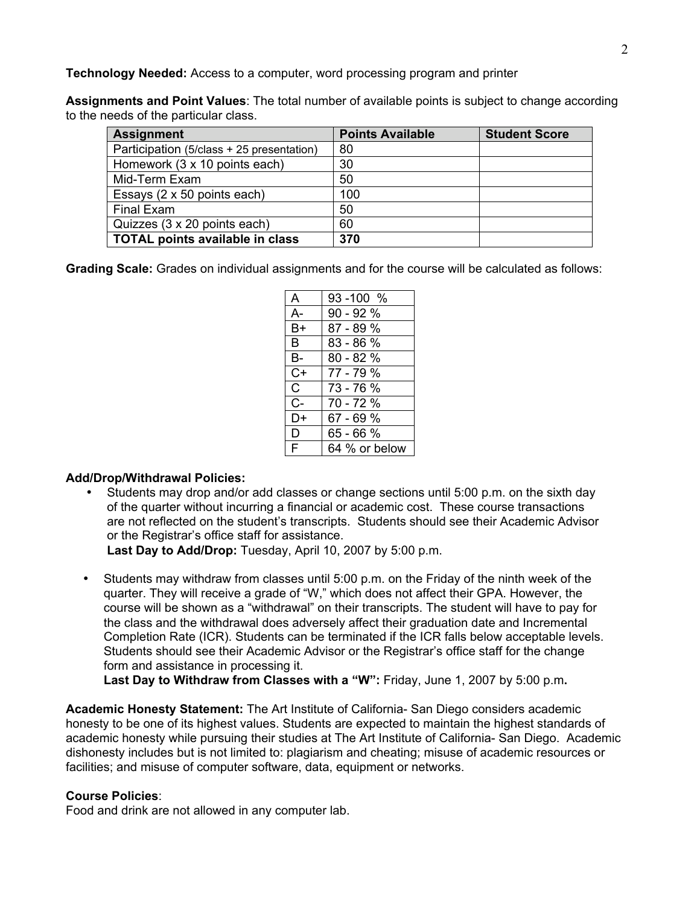**Technology Needed:** Access to a computer, word processing program and printer

**Assignments and Point Values**: The total number of available points is subject to change according to the needs of the particular class.

| <b>Assignment</b>                         | <b>Points Available</b> | <b>Student Score</b> |
|-------------------------------------------|-------------------------|----------------------|
| Participation (5/class + 25 presentation) | 80                      |                      |
| Homework (3 x 10 points each)             | 30                      |                      |
| Mid-Term Exam                             | 50                      |                      |
| Essays (2 x 50 points each)               | 100                     |                      |
| <b>Final Exam</b>                         | 50                      |                      |
| Quizzes (3 x 20 points each)              | 60                      |                      |
| <b>TOTAL points available in class</b>    | 370                     |                      |

**Grading Scale:** Grades on individual assignments and for the course will be calculated as follows:

| A            | $93 - 100 %$  |
|--------------|---------------|
| $A-$         | $90 - 92%$    |
| $B+$         | $87 - 89%$    |
| B            | 83 - 86 %     |
| <b>B-</b>    | $80 - 82%$    |
| $C+$         | 77 - 79 %     |
| $\mathsf{C}$ | 73 - 76 %     |
| $C -$        | 70 - 72 %     |
| D+           | 67 - 69 %     |
| D            | 65 - 66 %     |
| F            | 64 % or below |

### **Add/Drop/Withdrawal Policies:**

• Students may drop and/or add classes or change sections until 5:00 p.m. on the sixth day of the quarter without incurring a financial or academic cost. These course transactions are not reflected on the student's transcripts. Students should see their Academic Advisor or the Registrar's office staff for assistance.

**Last Day to Add/Drop:** Tuesday, April 10, 2007 by 5:00 p.m.

• Students may withdraw from classes until 5:00 p.m. on the Friday of the ninth week of the quarter. They will receive a grade of "W," which does not affect their GPA. However, the course will be shown as a "withdrawal" on their transcripts. The student will have to pay for the class and the withdrawal does adversely affect their graduation date and Incremental Completion Rate (ICR). Students can be terminated if the ICR falls below acceptable levels. Students should see their Academic Advisor or the Registrar's office staff for the change form and assistance in processing it.

**Last Day to Withdraw from Classes with a "W":** Friday, June 1, 2007 by 5:00 p.m**.**

**Academic Honesty Statement:** The Art Institute of California- San Diego considers academic honesty to be one of its highest values. Students are expected to maintain the highest standards of academic honesty while pursuing their studies at The Art Institute of California- San Diego. Academic dishonesty includes but is not limited to: plagiarism and cheating; misuse of academic resources or facilities; and misuse of computer software, data, equipment or networks.

### **Course Policies**:

Food and drink are not allowed in any computer lab.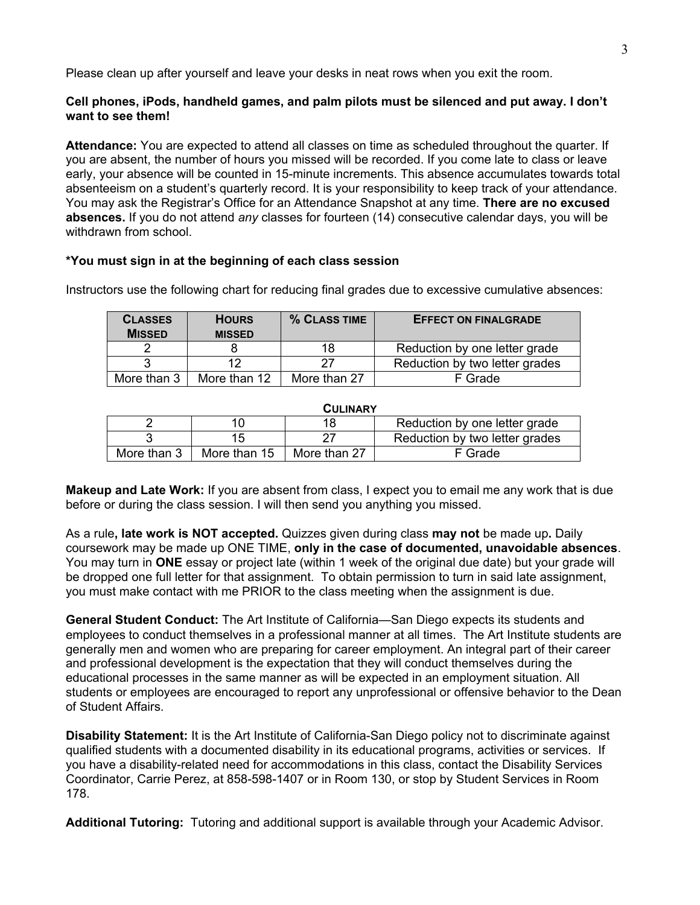Please clean up after yourself and leave your desks in neat rows when you exit the room.

# **Cell phones, iPods, handheld games, and palm pilots must be silenced and put away. I don't want to see them!**

**Attendance:** You are expected to attend all classes on time as scheduled throughout the quarter. If you are absent, the number of hours you missed will be recorded. If you come late to class or leave early, your absence will be counted in 15-minute increments. This absence accumulates towards total absenteeism on a student's quarterly record. It is your responsibility to keep track of your attendance. You may ask the Registrar's Office for an Attendance Snapshot at any time. **There are no excused absences.** If you do not attend *any* classes for fourteen (14) consecutive calendar days, you will be withdrawn from school.

### **\*You must sign in at the beginning of each class session**

| <b>CLASSES</b><br><b>MISSED</b> | <b>HOURS</b><br><b>MISSED</b> | % CLASS TIME | <b>EFFECT ON FINALGRADE</b>    |
|---------------------------------|-------------------------------|--------------|--------------------------------|
|                                 |                               | 18           | Reduction by one letter grade  |
|                                 | 12                            | 27           | Reduction by two letter grades |
| More than 3                     | More than 12                  | More than 27 | F Grade                        |

Instructors use the following chart for reducing final grades due to excessive cumulative absences:

| <b>CULINARY</b> |              |              |                                |  |
|-----------------|--------------|--------------|--------------------------------|--|
|                 | 10           | 18           | Reduction by one letter grade  |  |
|                 | 15           |              | Reduction by two letter grades |  |
| More than 3     | More than 15 | More than 27 | F Grade                        |  |

**Makeup and Late Work:** If you are absent from class, I expect you to email me any work that is due before or during the class session. I will then send you anything you missed.

As a rule**, late work is NOT accepted.** Quizzes given during class **may not** be made up**.** Daily coursework may be made up ONE TIME, **only in the case of documented, unavoidable absences**. You may turn in **ONE** essay or project late (within 1 week of the original due date) but your grade will be dropped one full letter for that assignment. To obtain permission to turn in said late assignment, you must make contact with me PRIOR to the class meeting when the assignment is due.

**General Student Conduct:** The Art Institute of California—San Diego expects its students and employees to conduct themselves in a professional manner at all times. The Art Institute students are generally men and women who are preparing for career employment. An integral part of their career and professional development is the expectation that they will conduct themselves during the educational processes in the same manner as will be expected in an employment situation. All students or employees are encouraged to report any unprofessional or offensive behavior to the Dean of Student Affairs.

**Disability Statement:** It is the Art Institute of California-San Diego policy not to discriminate against qualified students with a documented disability in its educational programs, activities or services. If you have a disability-related need for accommodations in this class, contact the Disability Services Coordinator, Carrie Perez, at 858-598-1407 or in Room 130, or stop by Student Services in Room 178.

**Additional Tutoring:** Tutoring and additional support is available through your Academic Advisor.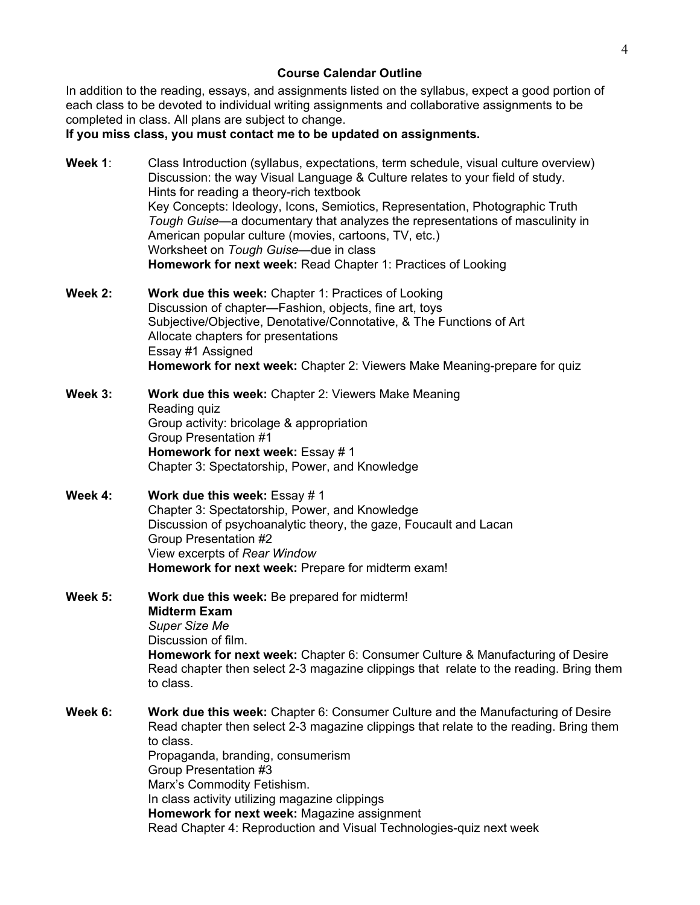#### **Course Calendar Outline**

In addition to the reading, essays, and assignments listed on the syllabus, expect a good portion of each class to be devoted to individual writing assignments and collaborative assignments to be completed in class. All plans are subject to change.

**If you miss class, you must contact me to be updated on assignments.**

- Week 1: Class Introduction (syllabus, expectations, term schedule, visual culture overview) Discussion: the way Visual Language & Culture relates to your field of study. Hints for reading a theory-rich textbook Key Concepts: Ideology, Icons, Semiotics, Representation, Photographic Truth *Tough Guise*—a documentary that analyzes the representations of masculinity in American popular culture (movies, cartoons, TV, etc.) Worksheet on *Tough Guise*—due in class **Homework for next week:** Read Chapter 1: Practices of Looking
- **Week 2: Work due this week:** Chapter 1: Practices of Looking Discussion of chapter—Fashion, objects, fine art, toys Subjective/Objective, Denotative/Connotative, & The Functions of Art Allocate chapters for presentations Essay #1 Assigned **Homework for next week:** Chapter 2: Viewers Make Meaning-prepare for quiz
- **Week 3: Work due this week:** Chapter 2: Viewers Make Meaning Reading quiz Group activity: bricolage & appropriation Group Presentation #1 **Homework for next week: Essay #1** Chapter 3: Spectatorship, Power, and Knowledge
- **Week 4: Work due this week:** Essay # 1 Chapter 3: Spectatorship, Power, and Knowledge Discussion of psychoanalytic theory, the gaze, Foucault and Lacan Group Presentation #2 View excerpts of *Rear Window* **Homework for next week:** Prepare for midterm exam!
- **Week 5: Work due this week:** Be prepared for midterm! **Midterm Exam** *Super Size Me* Discussion of film. **Homework for next week:** Chapter 6: Consumer Culture & Manufacturing of Desire Read chapter then select 2-3 magazine clippings that relate to the reading. Bring them to class.
- **Week 6: Work due this week:** Chapter 6: Consumer Culture and the Manufacturing of Desire Read chapter then select 2-3 magazine clippings that relate to the reading. Bring them to class. Propaganda, branding, consumerism Group Presentation #3 Marx's Commodity Fetishism. In class activity utilizing magazine clippings **Homework for next week:** Magazine assignment Read Chapter 4: Reproduction and Visual Technologies-quiz next week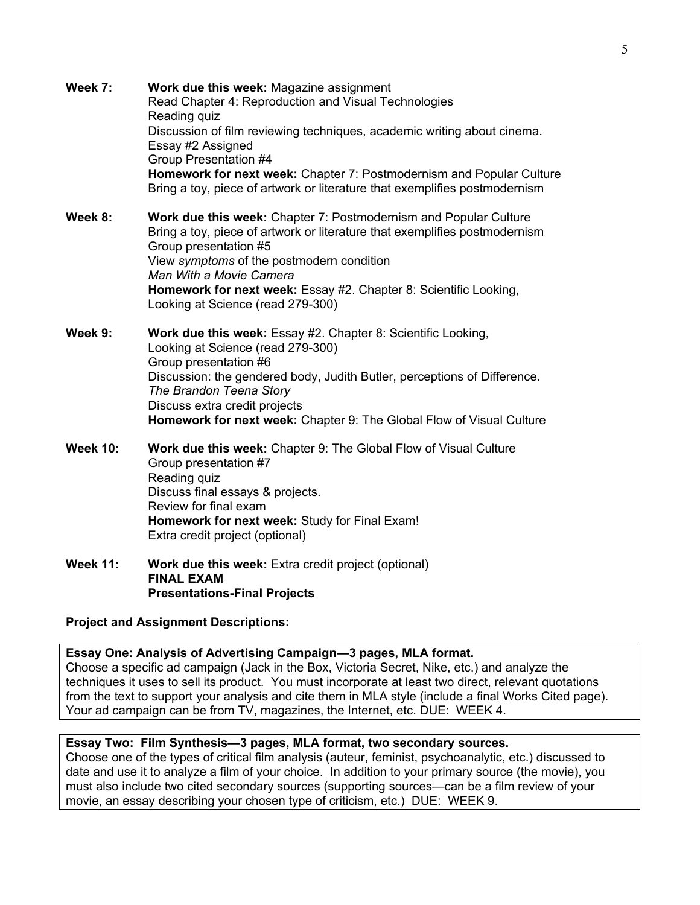- **Week 7: Work due this week:** Magazine assignment Read Chapter 4: Reproduction and Visual Technologies Reading quiz Discussion of film reviewing techniques, academic writing about cinema. Essay #2 Assigned Group Presentation #4 **Homework for next week:** Chapter 7: Postmodernism and Popular Culture Bring a toy, piece of artwork or literature that exemplifies postmodernism **Week 8: Work due this week:** Chapter 7: Postmodernism and Popular Culture Bring a toy, piece of artwork or literature that exemplifies postmodernism Group presentation #5 View *symptoms* of the postmodern condition *Man With a Movie Camera* **Homework for next week:** Essay #2. Chapter 8: Scientific Looking, Looking at Science (read 279-300) **Week 9: Work due this week:** Essay #2. Chapter 8: Scientific Looking, Looking at Science (read 279-300) Group presentation #6 Discussion: the gendered body, Judith Butler, perceptions of Difference. *The Brandon Teena Story* Discuss extra credit projects **Homework for next week:** Chapter 9: The Global Flow of Visual Culture **Week 10: Work due this week:** Chapter 9: The Global Flow of Visual Culture Group presentation #7 Reading quiz Discuss final essays & projects. Review for final exam **Homework for next week:** Study for Final Exam! Extra credit project (optional)
- Week 11: Work due this week: Extra credit project (optional) **FINAL EXAM Presentations-Final Projects**

# **Project and Assignment Descriptions:**

**Essay One: Analysis of Advertising Campaign—3 pages, MLA format.** Choose a specific ad campaign (Jack in the Box, Victoria Secret, Nike, etc.) and analyze the techniques it uses to sell its product. You must incorporate at least two direct, relevant quotations from the text to support your analysis and cite them in MLA style (include a final Works Cited page). Your ad campaign can be from TV, magazines, the Internet, etc. DUE: WEEK 4.

# **Essay Two: Film Synthesis—3 pages, MLA format, two secondary sources.**

Choose one of the types of critical film analysis (auteur, feminist, psychoanalytic, etc.) discussed to date and use it to analyze a film of your choice. In addition to your primary source (the movie), you must also include two cited secondary sources (supporting sources—can be a film review of your movie, an essay describing your chosen type of criticism, etc.) DUE: WEEK 9.